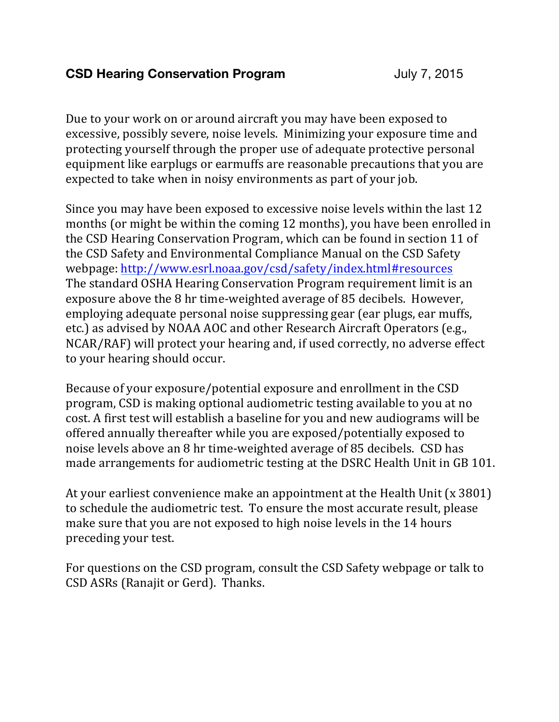## **CSD Hearing Conservation Program** July 7, 2015

Due to your work on or around aircraft you may have been exposed to excessive, possibly severe, noise levels. Minimizing your exposure time and protecting yourself through the proper use of adequate protective personal equipment like earplugs or earmuffs are reasonable precautions that you are expected to take when in noisy environments as part of your job.

Since you may have been exposed to excessive noise levels within the last 12 months (or might be within the coming 12 months), you have been enrolled in the CSD Hearing Conservation Program, which can be found in section 11 of the CSD Safety and Environmental Compliance Manual on the CSD Safety webpage: http://www.esrl.noaa.gov/csd/safety/index.html#resources The standard OSHA Hearing Conservation Program requirement limit is an exposure above the 8 hr time-weighted average of 85 decibels. However, employing adequate personal noise suppressing gear (ear plugs, ear muffs, etc.) as advised by NOAA AOC and other Research Aircraft Operators (e.g., NCAR/RAF) will protect your hearing and, if used correctly, no adverse effect to your hearing should occur.

Because of your exposure/potential exposure and enrollment in the CSD program, CSD is making optional audiometric testing available to you at no cost. A first test will establish a baseline for you and new audiograms will be offered annually thereafter while you are exposed/potentially exposed to noise levels above an 8 hr time-weighted average of 85 decibels. CSD has made arrangements for audiometric testing at the DSRC Health Unit in GB 101.

At your earliest convenience make an appointment at the Health Unit  $(x 3801)$ to schedule the audiometric test. To ensure the most accurate result, please make sure that you are not exposed to high noise levels in the 14 hours preceding your test.

For questions on the CSD program, consult the CSD Safety webpage or talk to CSD ASRs (Ranajit or Gerd). Thanks.